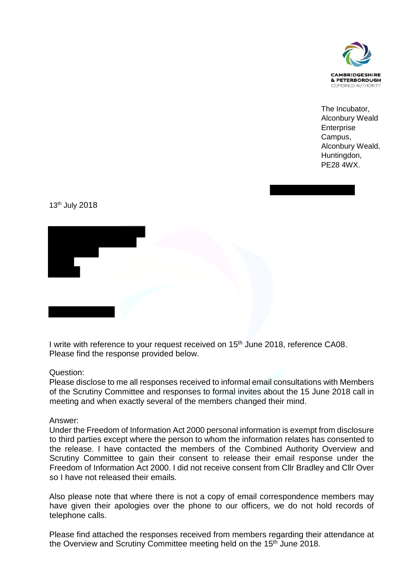

The Incubator, Alconbury Weald **Enterprise** Campus, Alconbury Weald, Huntingdon, PE28 4WX.

13th July 2018



I write with reference to your request received on 15<sup>th</sup> June 2018, reference CA08. Please find the response provided below.

## Question:

Please disclose to me all responses received to informal email consultations with Members of the Scrutiny Committee and responses to formal invites about the 15 June 2018 call in meeting and when exactly several of the members changed their mind.

## Answer:

Under the Freedom of Information Act 2000 personal information is exempt from disclosure to third parties except where the person to whom the information relates has consented to the release. I have contacted the members of the Combined Authority Overview and Scrutiny Committee to gain their consent to release their email response under the Freedom of Information Act 2000. I did not receive consent from Cllr Bradley and Cllr Over so I have not released their emails.

Also please note that where there is not a copy of email correspondence members may have given their apologies over the phone to our officers, we do not hold records of telephone calls.

Please find attached the responses received from members regarding their attendance at the Overview and Scrutiny Committee meeting held on the 15<sup>th</sup> June 2018.